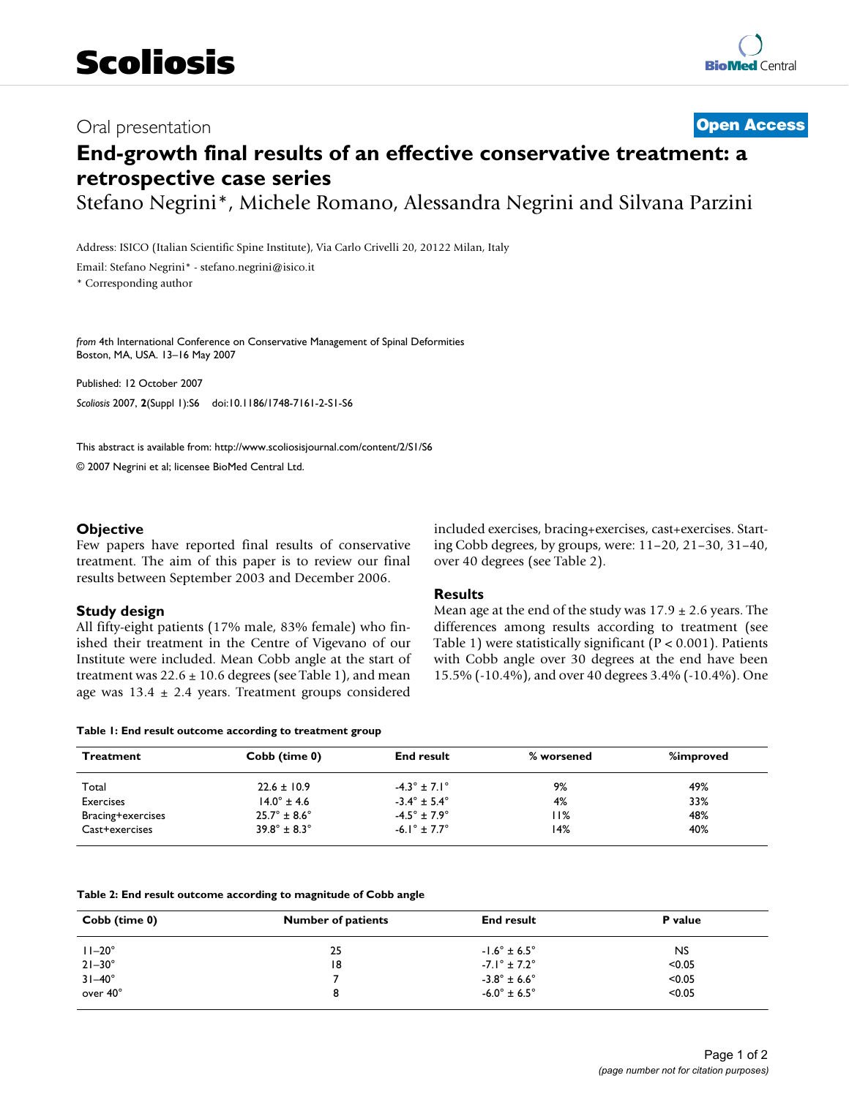## Oral presentation **[Open Access](http://www.biomedcentral.com/info/about/charter/)**

# **End-growth final results of an effective conservative treatment: a retrospective case series**

Stefano Negrini\*, Michele Romano, Alessandra Negrini and Silvana Parzini

Address: ISICO (Italian Scientific Spine Institute), Via Carlo Crivelli 20, 20122 Milan, Italy

Email: Stefano Negrini\* - stefano.negrini@isico.it

\* Corresponding author

*from* 4th International Conference on Conservative Management of Spinal Deformities Boston, MA, USA. 13–16 May 2007

Published: 12 October 2007 *Scoliosis* 2007, **2**(Suppl 1):S6 doi:10.1186/1748-7161-2-S1-S6

[This abstract is available from: http://www.scoliosisjournal.com/content/2/S1/S6](http://www.scoliosisjournal.com/content/2/S1/S6)

© 2007 Negrini et al; licensee BioMed Central Ltd.

#### **Objective**

Few papers have reported final results of conservative treatment. The aim of this paper is to review our final results between September 2003 and December 2006.

#### **Study design**

All fifty-eight patients (17% male, 83% female) who finished their treatment in the Centre of Vigevano of our Institute were included. Mean Cobb angle at the start of treatment was  $22.6 \pm 10.6$  degrees (see Table 1), and mean age was  $13.4 \pm 2.4$  years. Treatment groups considered included exercises, bracing+exercises, cast+exercises. Starting Cobb degrees, by groups, were: 11–20, 21–30, 31–40, over 40 degrees (see Table 2).

#### **Results**

Mean age at the end of the study was  $17.9 \pm 2.6$  years. The differences among results according to treatment (see Table 1) were statistically significant ( $P < 0.001$ ). Patients with Cobb angle over 30 degrees at the end have been 15.5% (-10.4%), and over 40 degrees 3.4% (-10.4%). One

#### **Table 1: End result outcome according to treatment group**

| <b>Treatment</b>  | Cobb (time 0)                  | <b>End result</b>              | % worsened | %improved |
|-------------------|--------------------------------|--------------------------------|------------|-----------|
| Total             | $22.6 \pm 10.9$                | $-4.3^{\circ} \pm 7.1^{\circ}$ | 9%         | 49%       |
| <b>Exercises</b>  | $14.0^{\circ}$ ± 4.6           | $-3.4^{\circ} \pm 5.4^{\circ}$ | 4%         | 33%       |
| Bracing+exercises | $25.7^{\circ} \pm 8.6^{\circ}$ | $-4.5^{\circ} \pm 7.9^{\circ}$ | l I%       | 48%       |
| Cast+exercises    | $39.8^{\circ} \pm 8.3^{\circ}$ | $-6.1^{\circ} \pm 7.7^{\circ}$ | 14%        | 40%       |

| Table 2: End result outcome according to magnitude of Cobb angle |  |
|------------------------------------------------------------------|--|
|------------------------------------------------------------------|--|

| Cobb (time 0)   | <b>Number of patients</b> | <b>End result</b>              | P value |
|-----------------|---------------------------|--------------------------------|---------|
| $11-20^\circ$   | 25                        | $-1.6^{\circ} \pm 6.5^{\circ}$ | NS.     |
| $21 - 30^\circ$ | 18                        | $-7.1^{\circ} \pm 7.2^{\circ}$ | < 0.05  |
| $31 - 40^\circ$ |                           | $-3.8^{\circ} \pm 6.6^{\circ}$ | < 0.05  |
| over 40°        | 8                         | $-6.0^{\circ} \pm 6.5^{\circ}$ | < 0.05  |